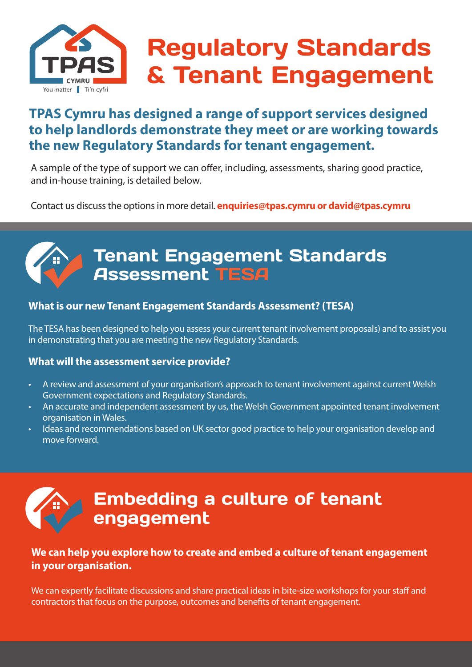

# Regulatory Standards & Tenant Engagement

### **TPAS Cymru has designed a range of support services designed to help landlords demonstrate they meet or are working towards the new Regulatory Standards for tenant engagement.**

A sample of the type of support we can offer, including, assessments, sharing good practice, and in-house training, is detailed below.

Contact us discuss the options in more detail. **enquiries@tpas.cymru or david@tpas.cymru**

### Tenant Engagement Standards Assessment TESA

#### **What is our new Tenant Engagement Standards Assessment? (TESA)**

The TESA has been designed to help you assess your current tenant involvement proposals) and to assist you in demonstrating that you are meeting the new Regulatory Standards.

#### **What will the assessment service provide?**

- A review and assessment of your organisation's approach to tenant involvement against current Welsh Government expectations and Regulatory Standards.
- An accurate and independent assessment by us, the Welsh Government appointed tenant involvement organisation in Wales.
- Ideas and recommendations based on UK sector good practice to help your organisation develop and move forward.



### Embedding a culture of tenant engagement

#### **We can help you explore how to create and embed a culture of tenant engagement in your organisation.**

We can expertly facilitate discussions and share practical ideas in bite-size workshops for your staff and contractors that focus on the purpose, outcomes and benefits of tenant engagement.